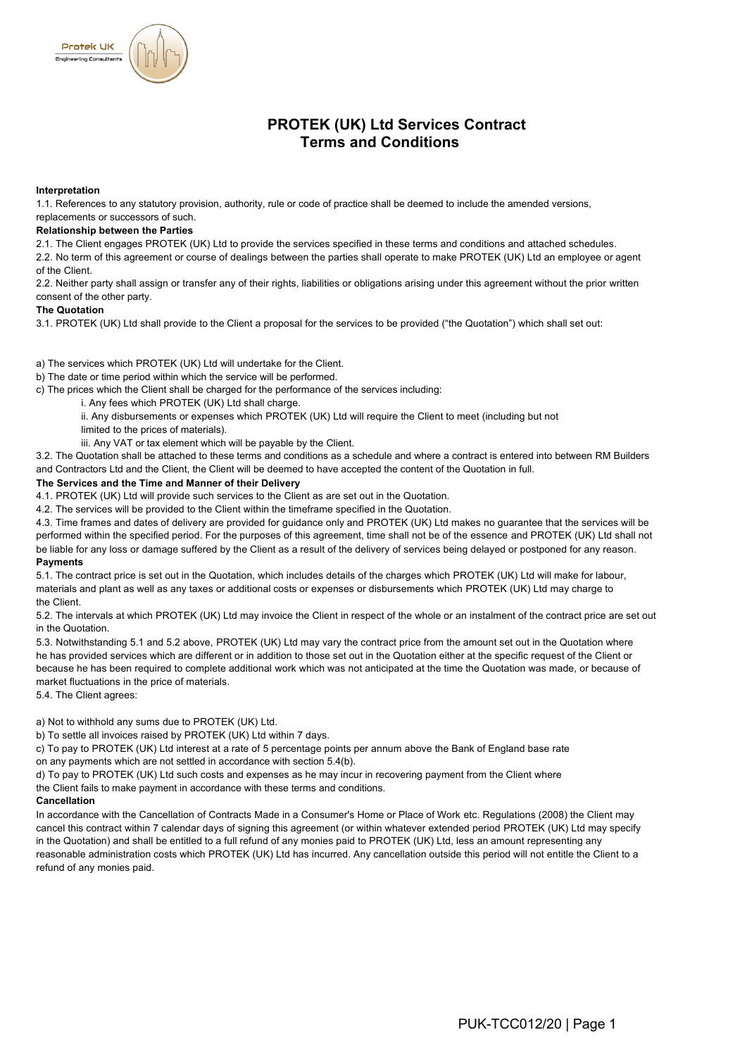

### **Interpretation**

**Protek UK** ering Consultant:

1.1. References to any statutory provision, authority, rule or code of practice shall be deemed to include the amended versions,

# replacements or successors of such.

# **Relationship between the Parties**

2.1. The Client engages PROTEK (UK) Ltd to provide the services specified in these terms and conditions and attached schedules.

2.2. No term of this agreement or course of dealings between the parties shall operate to make PROTEK (UK) Ltd an employee or agent of the Client.

2.2. Neither party shall assign or transfer any of their rights, liabilities or obligations arising under this agreement without the prior written consent of the other party.

#### **The Quotation**

3.1. PROTEK (UK) Ltd shall provide to the Client a proposal for the services to be provided ("the Quotation") which shall set out:

- a) The services which PROTEK (UK) Ltd will undertake for the Client.
- b) The date or time period within which the service will be performed.
- c) The prices which the Client shall be charged for the performance of the services including:

i. Any fees which PROTEK (UK) Ltd shall charge.

- ii. Any disbursements or expenses which PROTEK (UK) Ltd will require the Client to meet (including but not limited to the prices of materials).
- iii. Any VAT or tax element which will be payable by the Client.

3.2. The Quotation shall be attached to these terms and conditions as a schedule and where a contract is entered into between RM Builders and Contractors Ltd and the Client, the Client will be deemed to have accepted the content of the Quotation in full.

#### **The Services and the Time and Manner of their Delivery**

4.1. PROTEK (UK) Ltd will provide such services to the Client as are set out in the Quotation.

4.2. The services will be provided to the Client within the timeframe specified in the Quotation.

4.3. Time frames and dates of delivery are provided for guidance only and PROTEK (UK) Ltd makes no guarantee that the services will be performed within the specified period. For the purposes of this agreement, time shall not be of the essence and PROTEK (UK) Ltd shall not be liable for any loss or damage suffered by the Client as a result of the delivery of services being delayed or postponed for any reason. **Payments**

5.1. The contract price is set out in the Quotation, which includes details of the charges which PROTEK (UK) Ltd will make for labour, materials and plant as well as any taxes or additional costs or expenses or disbursements which PROTEK (UK) Ltd may charge to the Client.

5.2. The intervals at which PROTEK (UK) Ltd may invoice the Client in respect of the whole or an instalment of the contract price are set out in the Quotation.

5.3. Notwithstanding 5.1 and 5.2 above, PROTEK (UK) Ltd may vary the contract price from the amount set out in the Quotation where he has provided services which are different or in addition to those set out in the Quotation either at the specific request of the Client or because he has been required to complete additional work which was not anticipated at the time the Quotation was made, or because of market fluctuations in the price of materials.

5.4. The Client agrees:

a) Not to withhold any sums due to PROTEK (UK) Ltd.

b) To settle all invoices raised by PROTEK (UK) Ltd within 7 days.

c) To pay to PROTEK (UK) Ltd interest at a rate of 5 percentage points per annum above the Bank of England base rate on any payments which are not settled in accordance with section 5.4(b).

d) To pay to PROTEK (UK) Ltd such costs and expenses as he may incur in recovering payment from the Client where the Client fails to make payment in accordance with these terms and conditions.

#### **Cancellation**

In accordance with the Cancellation of Contracts Made in a Consumer's Home or Place of Work etc. Regulations (2008) the Client may cancel this contract within 7 calendar days of signing this agreement (or within whatever extended period PROTEK (UK) Ltd may specify in the Quotation) and shall be entitled to a full refund of any monies paid to PROTEK (UK) Ltd, less an amount representing any reasonable administration costs which PROTEK (UK) Ltd has incurred. Any cancellation outside this period will not entitle the Client to a refund of any monies paid.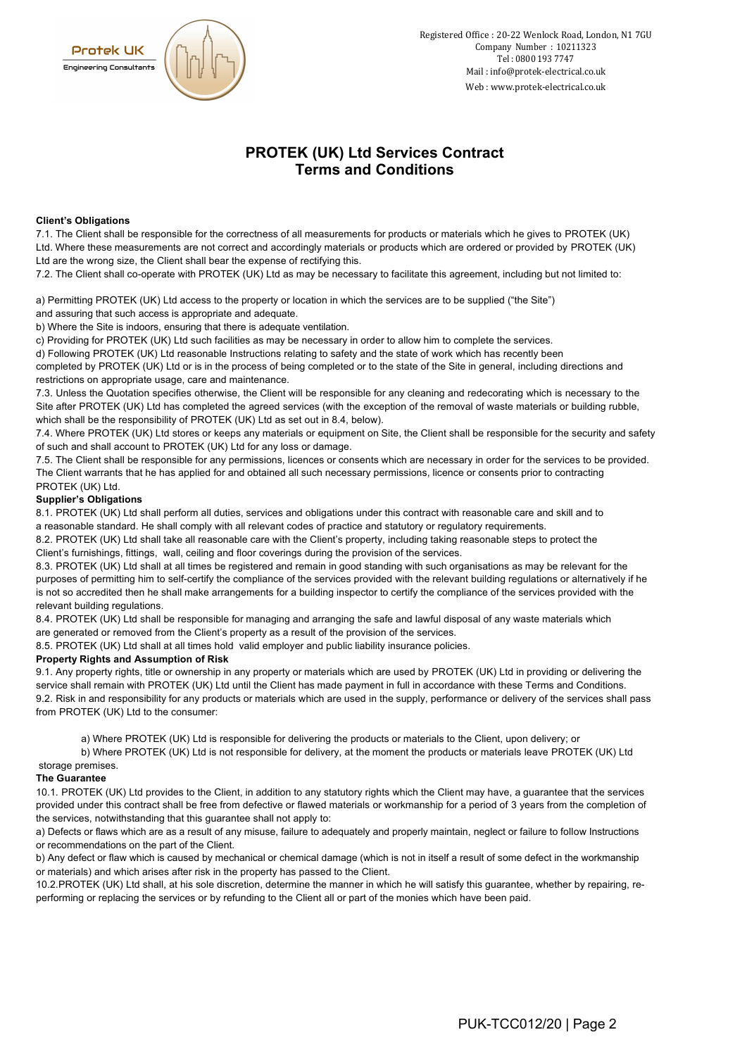

# **PROTEK (UK) Ltd Services Contract Terms and Conditions**

### **Client's Obligations**

7.1. The Client shall be responsible for the correctness of all measurements for products or materials which he gives to PROTEK (UK) Ltd. Where these measurements are not correct and accordingly materials or products which are ordered or provided by PROTEK (UK) Ltd are the wrong size, the Client shall bear the expense of rectifying this.

7.2. The Client shall co-operate with PROTEK (UK) Ltd as may be necessary to facilitate this agreement, including but not limited to:

a) Permitting PROTEK (UK) Ltd access to the property or location in which the services are to be supplied ("the Site") and assuring that such access is appropriate and adequate.

b) Where the Site is indoors, ensuring that there is adequate ventilation.

c) Providing for PROTEK (UK) Ltd such facilities as may be necessary in order to allow him to complete the services.

d) Following PROTEK (UK) Ltd reasonable Instructions relating to safety and the state of work which has recently been

completed by PROTEK (UK) Ltd or is in the process of being completed or to the state of the Site in general, including directions and restrictions on appropriate usage, care and maintenance.

7.3. Unless the Quotation specifies otherwise, the Client will be responsible for any cleaning and redecorating which is necessary to the Site after PROTEK (UK) Ltd has completed the agreed services (with the exception of the removal of waste materials or building rubble, which shall be the responsibility of PROTEK (UK) Ltd as set out in 8.4, below).

7.4. Where PROTEK (UK) Ltd stores or keeps any materials or equipment on Site, the Client shall be responsible for the security and safety of such and shall account to PROTEK (UK) Ltd for any loss or damage.

7.5. The Client shall be responsible for any permissions, licences or consents which are necessary in order for the services to be provided. The Client warrants that he has applied for and obtained all such necessary permissions, licence or consents prior to contracting PROTEK (UK) Ltd.

## **Supplier's Obligations**

8.1. PROTEK (UK) Ltd shall perform all duties, services and obligations under this contract with reasonable care and skill and to a reasonable standard. He shall comply with all relevant codes of practice and statutory or regulatory requirements.

8.2. PROTEK (UK) Ltd shall take all reasonable care with the Client's property, including taking reasonable steps to protect the Client's furnishings, fittings, wall, ceiling and floor coverings during the provision of the services.

8.3. PROTEK (UK) Ltd shall at all times be registered and remain in good standing with such organisations as may be relevant for the purposes of permitting him to self-certify the compliance of the services provided with the relevant building regulations or alternatively if he is not so accredited then he shall make arrangements for a building inspector to certify the compliance of the services provided with the relevant building regulations.

8.4. PROTEK (UK) Ltd shall be responsible for managing and arranging the safe and lawful disposal of any waste materials which are generated or removed from the Client's property as a result of the provision of the services.

8.5. PROTEK (UK) Ltd shall at all times hold valid employer and public liability insurance policies.

#### **Property Rights and Assumption of Risk**

9.1. Any property rights, title or ownership in any property or materials which are used by PROTEK (UK) Ltd in providing or delivering the service shall remain with PROTEK (UK) Ltd until the Client has made payment in full in accordance with these Terms and Conditions. 9.2. Risk in and responsibility for any products or materials which are used in the supply, performance or delivery of the services shall pass from PROTEK (UK) Ltd to the consumer:

a) Where PROTEK (UK) Ltd is responsible for delivering the products or materials to the Client, upon delivery; or

b) Where PROTEK (UK) Ltd is not responsible for delivery, at the moment the products or materials leave PROTEK (UK) Ltd storage premises.

#### **The Guarantee**

10.1. PROTEK (UK) Ltd provides to the Client, in addition to any statutory rights which the Client may have, a guarantee that the services provided under this contract shall be free from defective or flawed materials or workmanship for a period of 3 years from the completion of the services, notwithstanding that this guarantee shall not apply to:

a) Defects or flaws which are as a result of any misuse, failure to adequately and properly maintain, neglect or failure to follow Instructions or recommendations on the part of the Client.

b) Any defect or flaw which is caused by mechanical or chemical damage (which is not in itself a result of some defect in the workmanship or materials) and which arises after risk in the property has passed to the Client.

10.2.PROTEK (UK) Ltd shall, at his sole discretion, determine the manner in which he will satisfy this guarantee, whether by repairing, reperforming or replacing the services or by refunding to the Client all or part of the monies which have been paid.